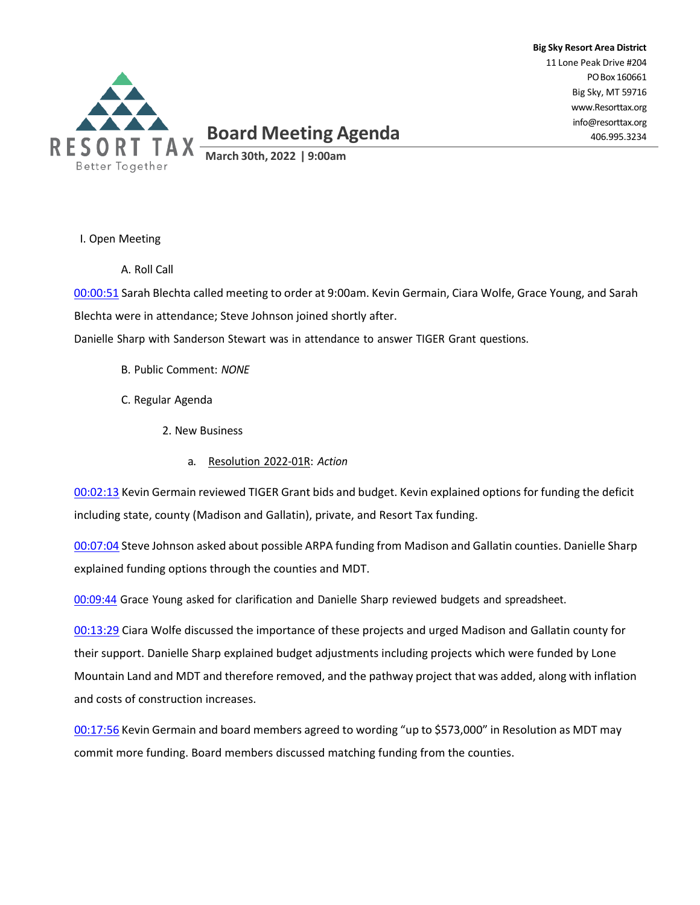

**Big Sky Resort Area District** 11 Lone Peak Drive #204 POBox 160661 Big Sky, MT 59716 [www.Resorttax.org](http://www.resorttax.org/) [info@resorttax.org](mailto:info@resorttax.org) 406.995.3234

I. Open Meeting

A. Roll Call

00:00:51 Sarah Blechta called meeting to order at 9:00am. Kevin Germain, Ciara Wolfe, Grace Young, and Sarah Blechta were in attendance; Steve Johnson joined shortly after.

Danielle Sharp with Sanderson Stewart was in attendance to answer TIGER Grant questions.

- B. Public Comment: *NONE*
- C. Regular Agenda
	- 2. New Business
		- a. Resolution 2022-01R: *Action*

00:02:13 Kevin Germain reviewed TIGER Grant bids and budget. Kevin explained options for funding the deficit including state, county (Madison and Gallatin), private, and Resort Tax funding.

00:07:04 Steve Johnson asked about possible ARPA funding from Madison and Gallatin counties. Danielle Sharp explained funding options through the counties and MDT.

00:09:44 Grace Young asked for clarification and Danielle Sharp reviewed budgets and spreadsheet.

00:13:29 Ciara Wolfe discussed the importance of these projects and urged Madison and Gallatin county for their support. Danielle Sharp explained budget adjustments including projects which were funded by Lone Mountain Land and MDT and therefore removed, and the pathway project that was added, along with inflation and costs of construction increases.

00:17:56 Kevin Germain and board members agreed to wording "up to \$573,000" in Resolution as MDT may commit more funding. Board members discussed matching funding from the counties.